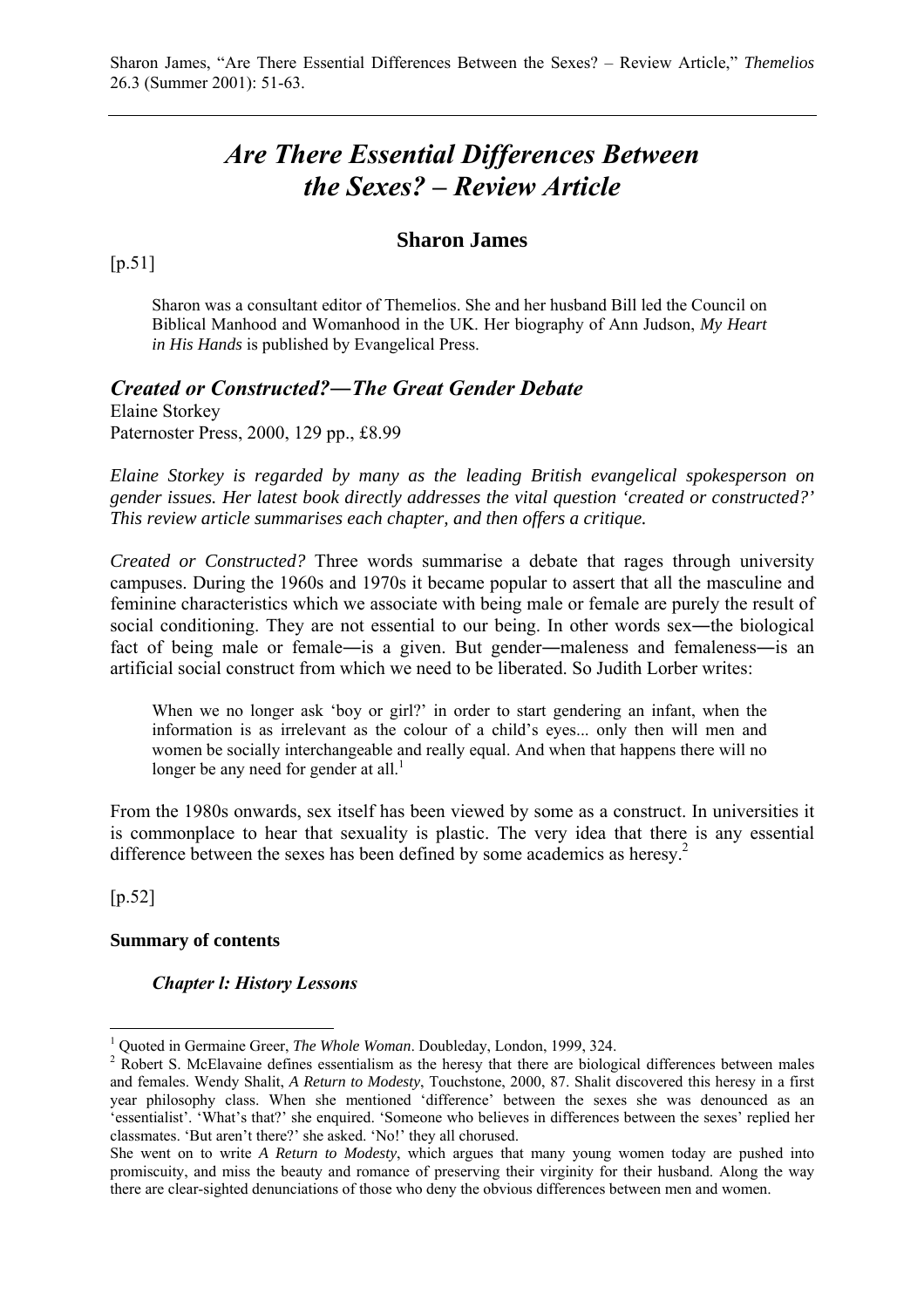# *Are There Essential Differences Between the Sexes? – Review Article*

## **Sharon James**

 $[p.51]$ 

Sharon was a consultant editor of Themelios. She and her husband Bill led the Council on Biblical Manhood and Womanhood in the UK. Her biography of Ann Judson, *My Heart in His Hands* is published by Evangelical Press.

## *Created or Constructed?―The Great Gender Debate*

Elaine Storkey Paternoster Press, 2000, 129 pp., £8.99

*Elaine Storkey is regarded by many as the leading British evangelical spokesperson on gender issues. Her latest book directly addresses the vital question 'created or constructed?' This review article summarises each chapter, and then offers a critique.*

*Created or Constructed?* Three words summarise a debate that rages through university campuses. During the 1960s and 1970s it became popular to assert that all the masculine and feminine characteristics which we associate with being male or female are purely the result of social conditioning. They are not essential to our being. In other words sex—the biological fact of being male or female—is a given. But gender—maleness and femaleness—is an artificial social construct from which we need to be liberated. So Judith Lorber writes:

When we no longer ask 'boy or girl?' in order to start gendering an infant, when the information is as irrelevant as the colour of a child's eyes... only then will men and women be socially interchangeable and really equal. And when that happens there will no longer be any need for gender at all.<sup>1</sup>

From the 1980s onwards, sex itself has been viewed by some as a construct. In universities it is commonplace to hear that sexuality is plastic. The very idea that there is any essential difference between the sexes has been defined by some academics as heresy.<sup>2</sup>

[p.52]

 $\overline{a}$ 

#### **Summary of contents**

#### *Chapter l: History Lessons*

<sup>&</sup>lt;sup>1</sup> Quoted in Germaine Greer, *The Whole Woman*. Doubleday, London, 1999, 324.

<sup>&</sup>lt;sup>2</sup> Robert S. McElavaine defines essentialism as the heresy that there are biological differences between males and females. Wendy Shalit, *A Return to Modesty*, Touchstone, 2000, 87. Shalit discovered this heresy in a first year philosophy class. When she mentioned 'difference' between the sexes she was denounced as an 'essentialist'. 'What's that?' she enquired. 'Someone who believes in differences between the sexes' replied her classmates. 'But aren't there?' she asked. 'No!' they all chorused.

She went on to write *A Return to Modesty*, which argues that many young women today are pushed into promiscuity, and miss the beauty and romance of preserving their virginity for their husband. Along the way there are clear-sighted denunciations of those who deny the obvious differences between men and women.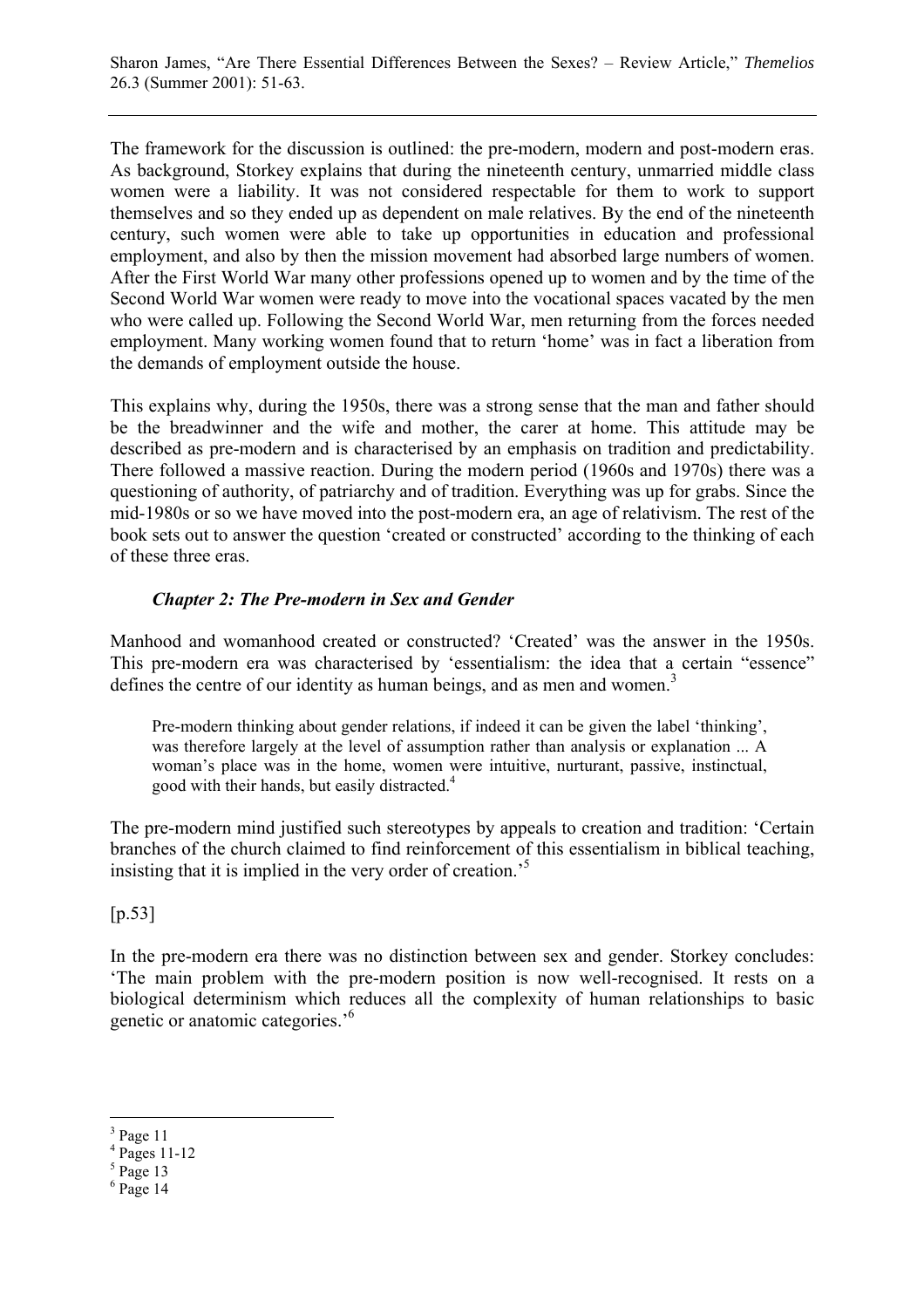The framework for the discussion is outlined: the pre-modern, modern and post-modern eras. As background, Storkey explains that during the nineteenth century, unmarried middle class women were a liability. It was not considered respectable for them to work to support themselves and so they ended up as dependent on male relatives. By the end of the nineteenth century, such women were able to take up opportunities in education and professional employment, and also by then the mission movement had absorbed large numbers of women. After the First World War many other professions opened up to women and by the time of the Second World War women were ready to move into the vocational spaces vacated by the men who were called up. Following the Second World War, men returning from the forces needed employment. Many working women found that to return 'home' was in fact a liberation from the demands of employment outside the house.

This explains why, during the 1950s, there was a strong sense that the man and father should be the breadwinner and the wife and mother, the carer at home. This attitude may be described as pre-modern and is characterised by an emphasis on tradition and predictability. There followed a massive reaction. During the modern period (1960s and 1970s) there was a questioning of authority, of patriarchy and of tradition. Everything was up for grabs. Since the mid-1980s or so we have moved into the post-modern era, an age of relativism. The rest of the book sets out to answer the question 'created or constructed' according to the thinking of each of these three eras.

## *Chapter 2: The Pre-modern in Sex and Gender*

Manhood and womanhood created or constructed? 'Created' was the answer in the 1950s. This pre-modern era was characterised by 'essentialism: the idea that a certain "essence" defines the centre of our identity as human beings, and as men and women.<sup>3</sup>

Pre-modern thinking about gender relations, if indeed it can be given the label 'thinking', was therefore largely at the level of assumption rather than analysis or explanation ... A woman's place was in the home, women were intuitive, nurturant, passive, instinctual, good with their hands, but easily distracted.<sup>4</sup>

The pre-modern mind justified such stereotypes by appeals to creation and tradition: 'Certain branches of the church claimed to find reinforcement of this essentialism in biblical teaching, insisting that it is implied in the very order of creation.'5

 $[p.53]$ 

In the pre-modern era there was no distinction between sex and gender. Storkey concludes: 'The main problem with the pre-modern position is now well-recognised. It rests on a biological determinism which reduces all the complexity of human relationships to basic genetic or anatomic categories.'6

 $3$  Page 11

<sup>4</sup> Pages 11-12

 $<sup>5</sup>$  Page 13</sup>

 $6$  Page 14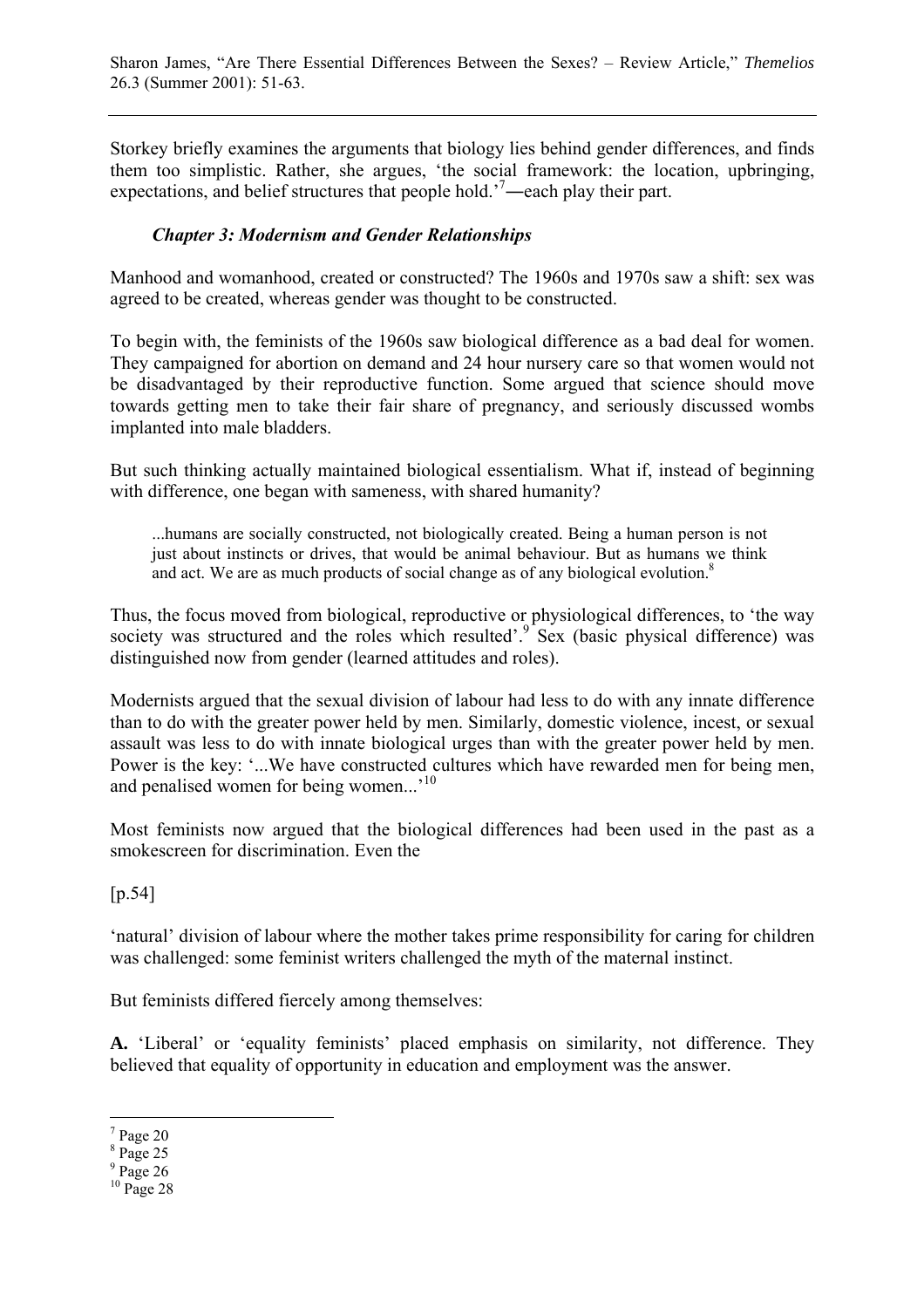Storkey briefly examines the arguments that biology lies behind gender differences, and finds them too simplistic. Rather, she argues, 'the social framework: the location, upbringing, expectations, and belief structures that people hold.<sup>7</sup>—each play their part.

## *Chapter 3: Modernism and Gender Relationships*

Manhood and womanhood, created or constructed? The 1960s and 1970s saw a shift: sex was agreed to be created, whereas gender was thought to be constructed.

To begin with, the feminists of the 1960s saw biological difference as a bad deal for women. They campaigned for abortion on demand and 24 hour nursery care so that women would not be disadvantaged by their reproductive function. Some argued that science should move towards getting men to take their fair share of pregnancy, and seriously discussed wombs implanted into male bladders.

But such thinking actually maintained biological essentialism. What if, instead of beginning with difference, one began with sameness, with shared humanity?

...humans are socially constructed, not biologically created. Being a human person is not just about instincts or drives, that would be animal behaviour. But as humans we think and act. We are as much products of social change as of any biological evolution.<sup>8</sup>

Thus, the focus moved from biological, reproductive or physiological differences, to 'the way society was structured and the roles which resulted'. $9$  Sex (basic physical difference) was distinguished now from gender (learned attitudes and roles).

Modernists argued that the sexual division of labour had less to do with any innate difference than to do with the greater power held by men. Similarly, domestic violence, incest, or sexual assault was less to do with innate biological urges than with the greater power held by men. Power is the key: '...We have constructed cultures which have rewarded men for being men, and penalised women for being women...'<sup>10</sup>

Most feminists now argued that the biological differences had been used in the past as a smokescreen for discrimination. Even the

[p.54]

'natural' division of labour where the mother takes prime responsibility for caring for children was challenged: some feminist writers challenged the myth of the maternal instinct.

But feminists differed fiercely among themselves:

**A.** 'Liberal' or 'equality feminists' placed emphasis on similarity, not difference. They believed that equality of opportunity in education and employment was the answer.

 $7$  Page 20

<sup>8</sup> Page 25

 $9$  Page 26

 $10$  Page 28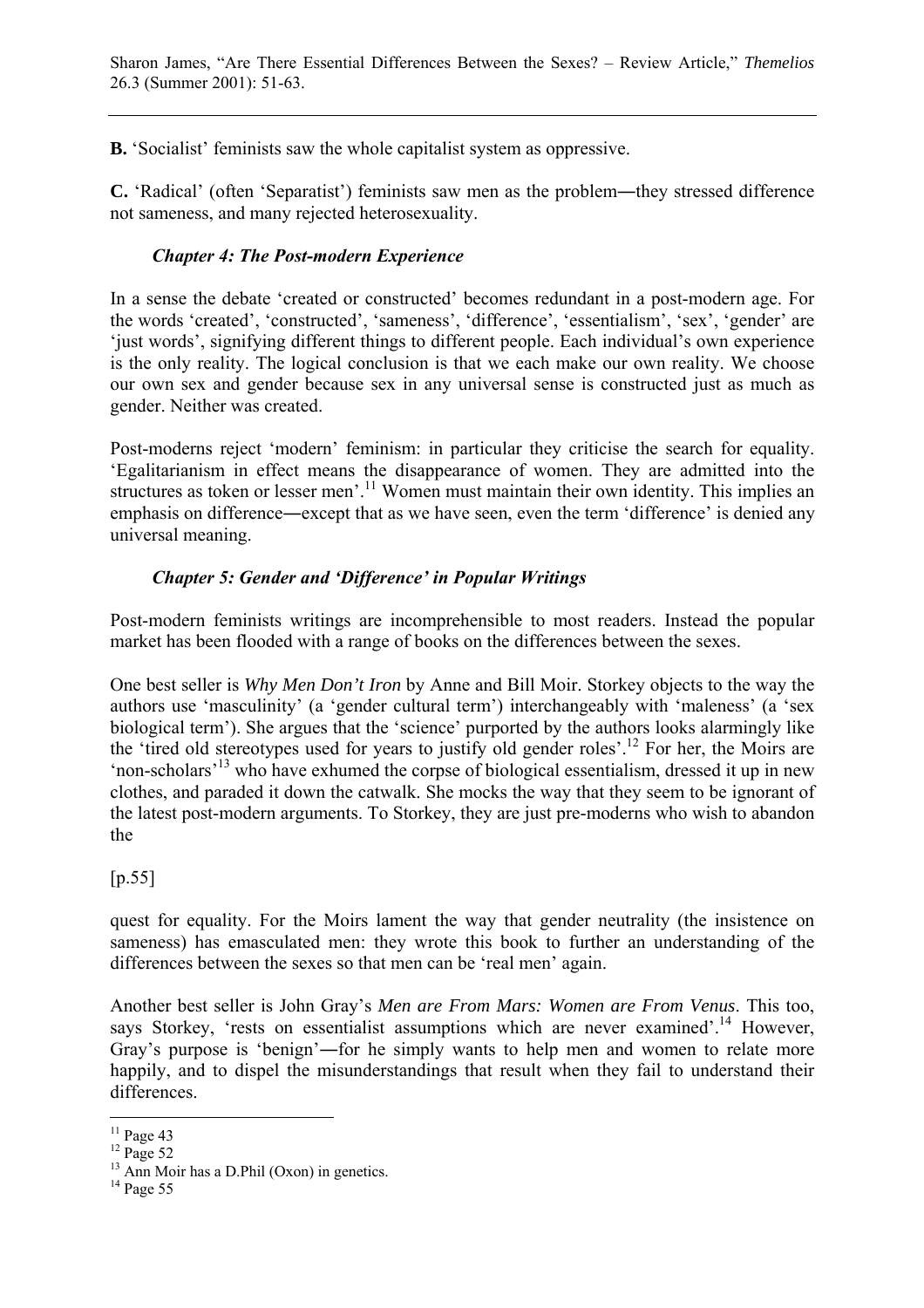**B.** 'Socialist' feminists saw the whole capitalist system as oppressive.

**C.** 'Radical' (often 'Separatist') feminists saw men as the problem―they stressed difference not sameness, and many rejected heterosexuality.

## *Chapter 4: The Post-modern Experience*

In a sense the debate 'created or constructed' becomes redundant in a post-modern age. For the words 'created', 'constructed', 'sameness', 'difference', 'essentialism', 'sex', 'gender' are 'just words', signifying different things to different people. Each individual's own experience is the only reality. The logical conclusion is that we each make our own reality. We choose our own sex and gender because sex in any universal sense is constructed just as much as gender. Neither was created.

Post-moderns reject 'modern' feminism: in particular they criticise the search for equality. 'Egalitarianism in effect means the disappearance of women. They are admitted into the structures as token or lesser men'.<sup>11</sup> Women must maintain their own identity. This implies an emphasis on difference―except that as we have seen, even the term 'difference' is denied any universal meaning.

# *Chapter 5: Gender and 'Difference' in Popular Writings*

Post-modern feminists writings are incomprehensible to most readers. Instead the popular market has been flooded with a range of books on the differences between the sexes.

One best seller is *Why Men Don't Iron* by Anne and Bill Moir. Storkey objects to the way the authors use 'masculinity' (a 'gender cultural term') interchangeably with 'maleness' (a 'sex biological term'). She argues that the 'science' purported by the authors looks alarmingly like the 'tired old stereotypes used for years to justify old gender roles'.12 For her, the Moirs are 'non-scholars'13 who have exhumed the corpse of biological essentialism, dressed it up in new clothes, and paraded it down the catwalk. She mocks the way that they seem to be ignorant of the latest post-modern arguments. To Storkey, they are just pre-moderns who wish to abandon the

 $[p.55]$ 

quest for equality. For the Moirs lament the way that gender neutrality (the insistence on sameness) has emasculated men: they wrote this book to further an understanding of the differences between the sexes so that men can be 'real men' again.

Another best seller is John Gray's *Men are From Mars: Women are From Venus*. This too, says Storkey, 'rests on essentialist assumptions which are never examined'.<sup>14</sup> However, Gray's purpose is 'benign'―for he simply wants to help men and women to relate more happily, and to dispel the misunderstandings that result when they fail to understand their differences.

 $\overline{a}$  $11$  Page 43

 $12$  Page 52

 $13$  Ann Moir has a D.Phil (Oxon) in genetics.

<sup>&</sup>lt;sup>14</sup> Page 55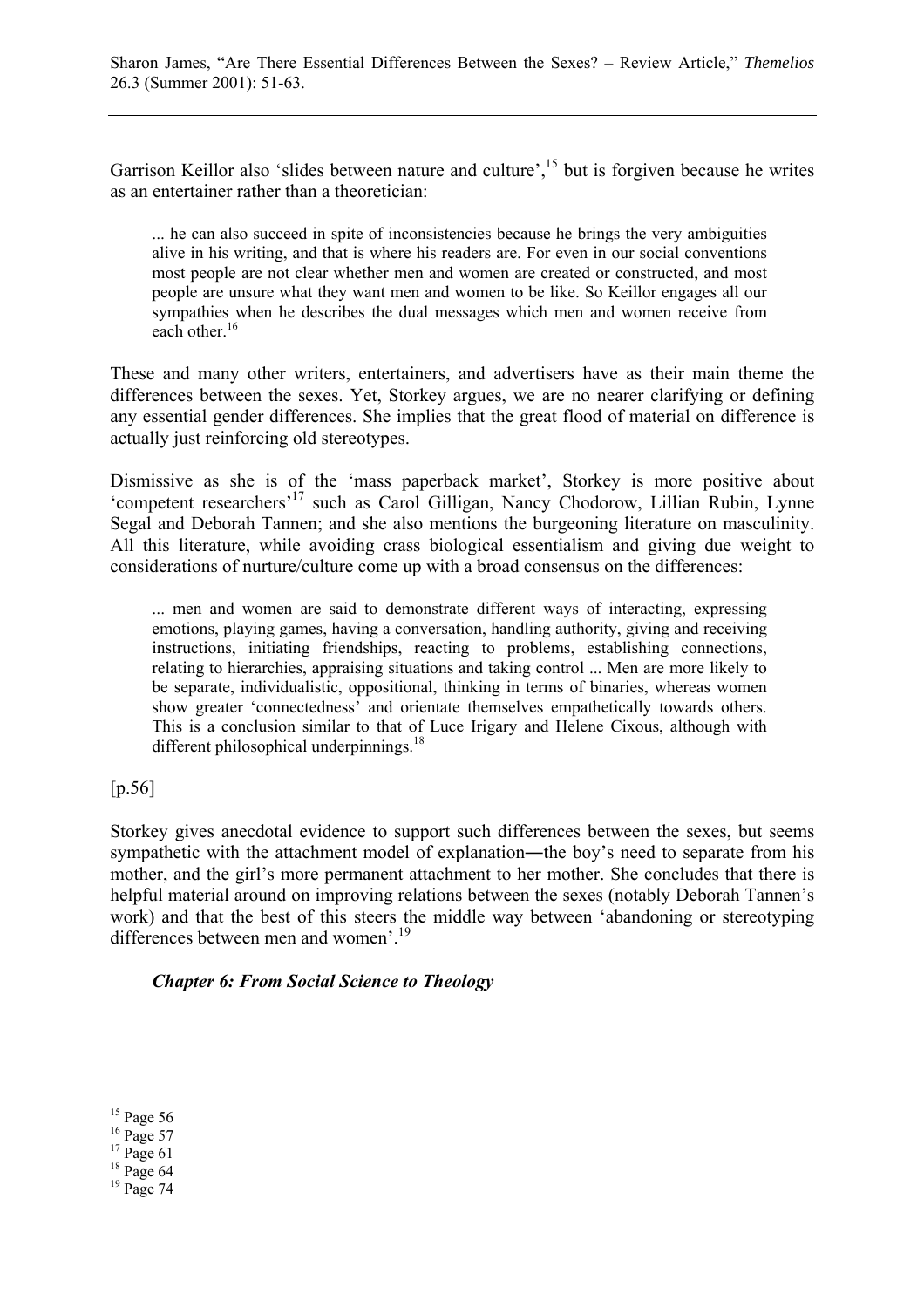Garrison Keillor also 'slides between nature and culture',<sup>15</sup> but is forgiven because he writes as an entertainer rather than a theoretician:

... he can also succeed in spite of inconsistencies because he brings the very ambiguities alive in his writing, and that is where his readers are. For even in our social conventions most people are not clear whether men and women are created or constructed, and most people are unsure what they want men and women to be like. So Keillor engages all our sympathies when he describes the dual messages which men and women receive from each other.<sup>16</sup>

These and many other writers, entertainers, and advertisers have as their main theme the differences between the sexes. Yet, Storkey argues, we are no nearer clarifying or defining any essential gender differences. She implies that the great flood of material on difference is actually just reinforcing old stereotypes.

Dismissive as she is of the 'mass paperback market', Storkey is more positive about 'competent researchers'17 such as Carol Gilligan, Nancy Chodorow, Lillian Rubin, Lynne Segal and Deborah Tannen; and she also mentions the burgeoning literature on masculinity. All this literature, while avoiding crass biological essentialism and giving due weight to considerations of nurture/culture come up with a broad consensus on the differences:

... men and women are said to demonstrate different ways of interacting, expressing emotions, playing games, having a conversation, handling authority, giving and receiving instructions, initiating friendships, reacting to problems, establishing connections, relating to hierarchies, appraising situations and taking control ... Men are more likely to be separate, individualistic, oppositional, thinking in terms of binaries, whereas women show greater 'connectedness' and orientate themselves empathetically towards others. This is a conclusion similar to that of Luce Irigary and Helene Cixous, although with different philosophical underpinnings.<sup>18</sup>

[p.56]

Storkey gives anecdotal evidence to support such differences between the sexes, but seems sympathetic with the attachment model of explanation—the boy's need to separate from his mother, and the girl's more permanent attachment to her mother. She concludes that there is helpful material around on improving relations between the sexes (notably Deborah Tannen's work) and that the best of this steers the middle way between 'abandoning or stereotyping differences between men and women'.<sup>19</sup>

*Chapter 6: From Social Science to Theology*

 $15$  Page 56

<sup>&</sup>lt;sup>16</sup> Page 57

 $17$  Page 61

 $18$  Page 64

 $19$  Page 74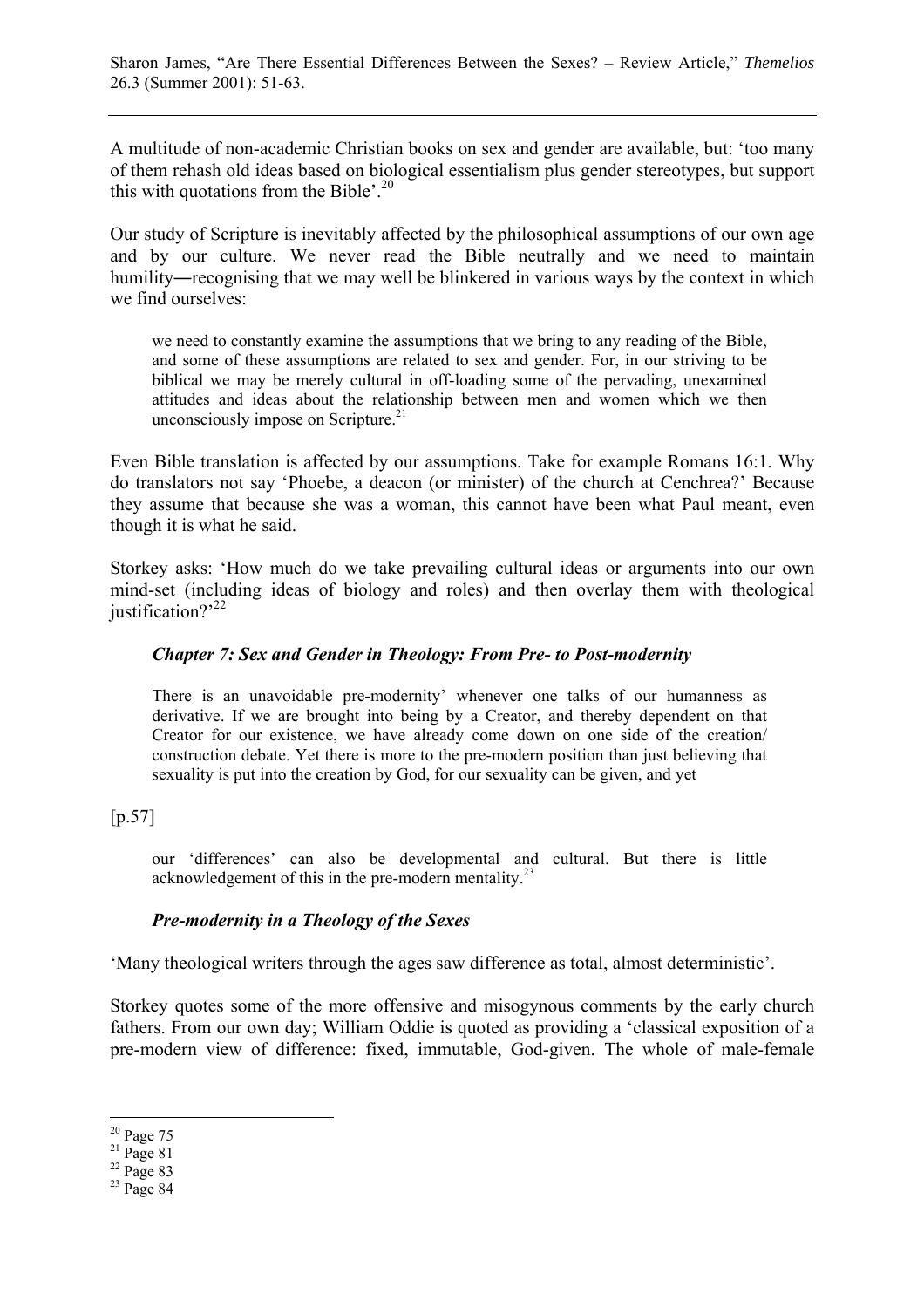A multitude of non-academic Christian books on sex and gender are available, but: 'too many of them rehash old ideas based on biological essentialism plus gender stereotypes, but support this with quotations from the Bible'.<sup>20</sup>

Our study of Scripture is inevitably affected by the philosophical assumptions of our own age and by our culture. We never read the Bible neutrally and we need to maintain humility―recognising that we may well be blinkered in various ways by the context in which we find ourselves:

we need to constantly examine the assumptions that we bring to any reading of the Bible, and some of these assumptions are related to sex and gender. For, in our striving to be biblical we may be merely cultural in off-loading some of the pervading, unexamined attitudes and ideas about the relationship between men and women which we then unconsciously impose on Scripture.<sup>21</sup>

Even Bible translation is affected by our assumptions. Take for example Romans 16:1. Why do translators not say 'Phoebe, a deacon (or minister) of the church at Cenchrea?' Because they assume that because she was a woman, this cannot have been what Paul meant, even though it is what he said.

Storkey asks: 'How much do we take prevailing cultural ideas or arguments into our own mind-set (including ideas of biology and roles) and then overlay them with theological justification? $2^{22}$ 

#### *Chapter 7: Sex and Gender in Theology: From Pre- to Post-modernity*

There is an unavoidable pre-modernity' whenever one talks of our humanness as derivative. If we are brought into being by a Creator, and thereby dependent on that Creator for our existence, we have already come down on one side of the creation/ construction debate. Yet there is more to the pre-modern position than just believing that sexuality is put into the creation by God, for our sexuality can be given, and yet

[p.57]

our 'differences' can also be developmental and cultural. But there is little acknowledgement of this in the pre-modern mentality.<sup>23</sup>

#### *Pre-modernity in a Theology of the Sexes*

'Many theological writers through the ages saw difference as total, almost deterministic'.

Storkey quotes some of the more offensive and misogynous comments by the early church fathers. From our own day; William Oddie is quoted as providing a 'classical exposition of a pre-modern view of difference: fixed, immutable, God-given. The whole of male-female

<sup>20</sup> Page 75

 $21$  Page 81

 $22$  Page 83

 $23$  Page 84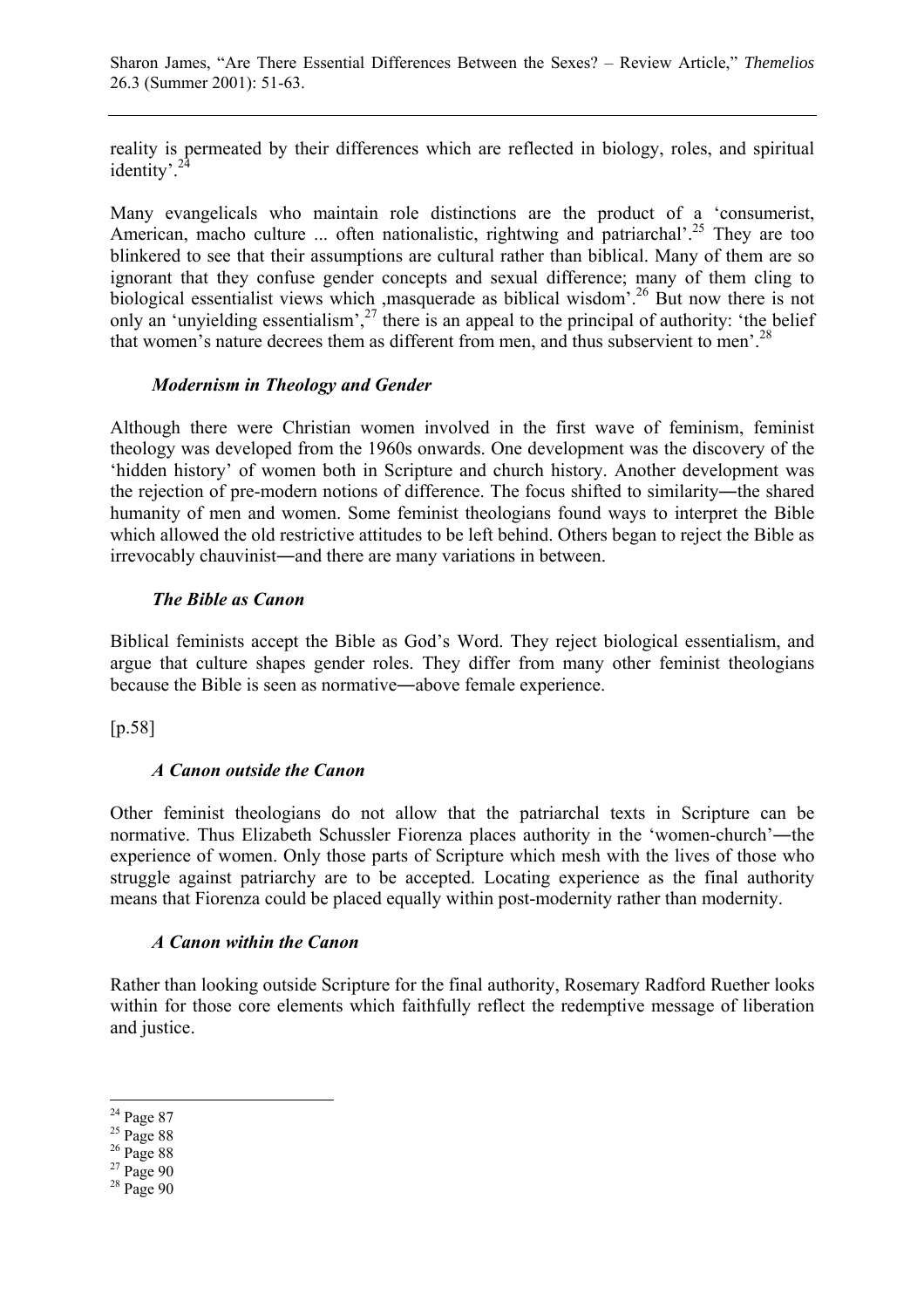reality is permeated by their differences which are reflected in biology, roles, and spiritual identity'.<sup>24</sup>

Many evangelicals who maintain role distinctions are the product of a 'consumerist, American, macho culture ... often nationalistic, rightwing and patriarchal'.<sup>25</sup> They are too blinkered to see that their assumptions are cultural rather than biblical. Many of them are so ignorant that they confuse gender concepts and sexual difference; many of them cling to biological essentialist views which ,masquerade as biblical wisdom<sup>'.26</sup> But now there is not only an 'unyielding essentialism',<sup>27</sup> there is an appeal to the principal of authority: 'the belief that women's nature decrees them as different from men, and thus subservient to men'.<sup>28</sup>

#### *Modernism in Theology and Gender*

Although there were Christian women involved in the first wave of feminism, feminist theology was developed from the 1960s onwards. One development was the discovery of the 'hidden history' of women both in Scripture and church history. Another development was the rejection of pre-modern notions of difference. The focus shifted to similarity—the shared humanity of men and women. Some feminist theologians found ways to interpret the Bible which allowed the old restrictive attitudes to be left behind. Others began to reject the Bible as irrevocably chauvinist―and there are many variations in between.

#### *The Bible as Canon*

Biblical feminists accept the Bible as God's Word. They reject biological essentialism, and argue that culture shapes gender roles. They differ from many other feminist theologians because the Bible is seen as normative―above female experience.

[p.58]

#### *A Canon outside the Canon*

Other feminist theologians do not allow that the patriarchal texts in Scripture can be normative. Thus Elizabeth Schussler Fiorenza places authority in the 'women-church'―the experience of women. Only those parts of Scripture which mesh with the lives of those who struggle against patriarchy are to be accepted. Locating experience as the final authority means that Fiorenza could be placed equally within post-modernity rather than modernity.

#### *A Canon within the Canon*

Rather than looking outside Scripture for the final authority, Rosemary Radford Ruether looks within for those core elements which faithfully reflect the redemptive message of liberation and justice.

 $24$  Page 87

 $^{25}$  Page 88

<sup>&</sup>lt;sup>26</sup> Page 88

 $27$  Page 90

 $28$  Page 90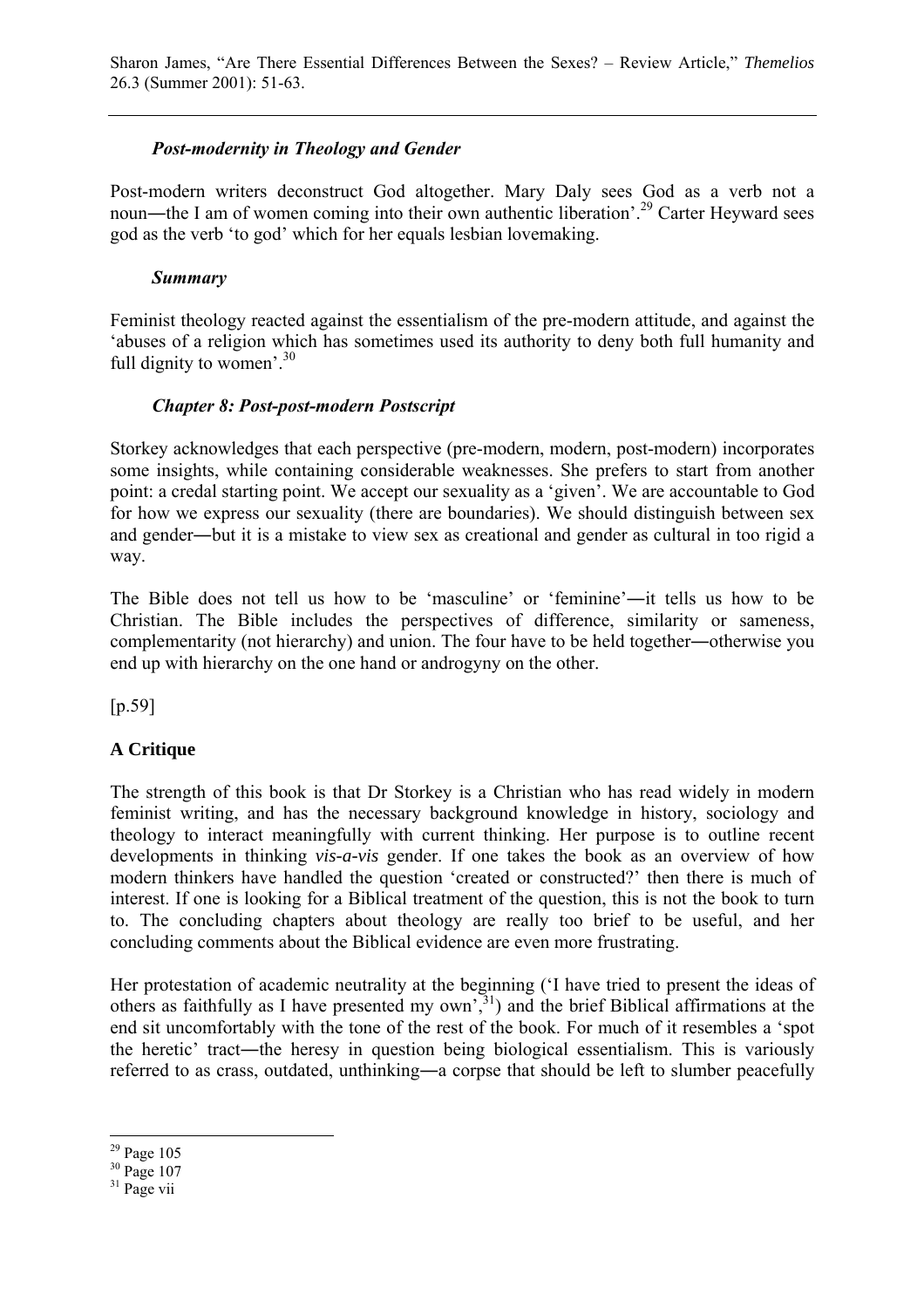## *Post-modernity in Theology and Gender*

Post-modern writers deconstruct God altogether. Mary Daly sees God as a verb not a noun—the I am of women coming into their own authentic liberation'.<sup>29</sup> Carter Heyward sees god as the verb 'to god' which for her equals lesbian lovemaking.

## *Summary*

Feminist theology reacted against the essentialism of the pre-modern attitude, and against the 'abuses of a religion which has sometimes used its authority to deny both full humanity and full dignity to women'. $30$ 

## *Chapter 8: Post-post-modern Postscript*

Storkey acknowledges that each perspective (pre-modern, modern, post-modern) incorporates some insights, while containing considerable weaknesses. She prefers to start from another point: a credal starting point. We accept our sexuality as a 'given'. We are accountable to God for how we express our sexuality (there are boundaries). We should distinguish between sex and gender―but it is a mistake to view sex as creational and gender as cultural in too rigid a way.

The Bible does not tell us how to be 'masculine' or 'feminine'―it tells us how to be Christian. The Bible includes the perspectives of difference, similarity or sameness, complementarity (not hierarchy) and union. The four have to be held together―otherwise you end up with hierarchy on the one hand or androgyny on the other.

[p.59]

# **A Critique**

The strength of this book is that Dr Storkey is a Christian who has read widely in modern feminist writing, and has the necessary background knowledge in history, sociology and theology to interact meaningfully with current thinking. Her purpose is to outline recent developments in thinking *vis-a-vis* gender. If one takes the book as an overview of how modern thinkers have handled the question 'created or constructed?' then there is much of interest. If one is looking for a Biblical treatment of the question, this is not the book to turn to. The concluding chapters about theology are really too brief to be useful, and her concluding comments about the Biblical evidence are even more frustrating.

Her protestation of academic neutrality at the beginning ('I have tried to present the ideas of others as faithfully as I have presented my  $own^{31}$ , and the brief Biblical affirmations at the end sit uncomfortably with the tone of the rest of the book. For much of it resembles a 'spot the heretic' tract―the heresy in question being biological essentialism. This is variously referred to as crass, outdated, unthinking―a corpse that should be left to slumber peacefully

 $\overline{a}$ 29 Page 105

<sup>&</sup>lt;sup>30</sup> Page 107

 $31$  Page vii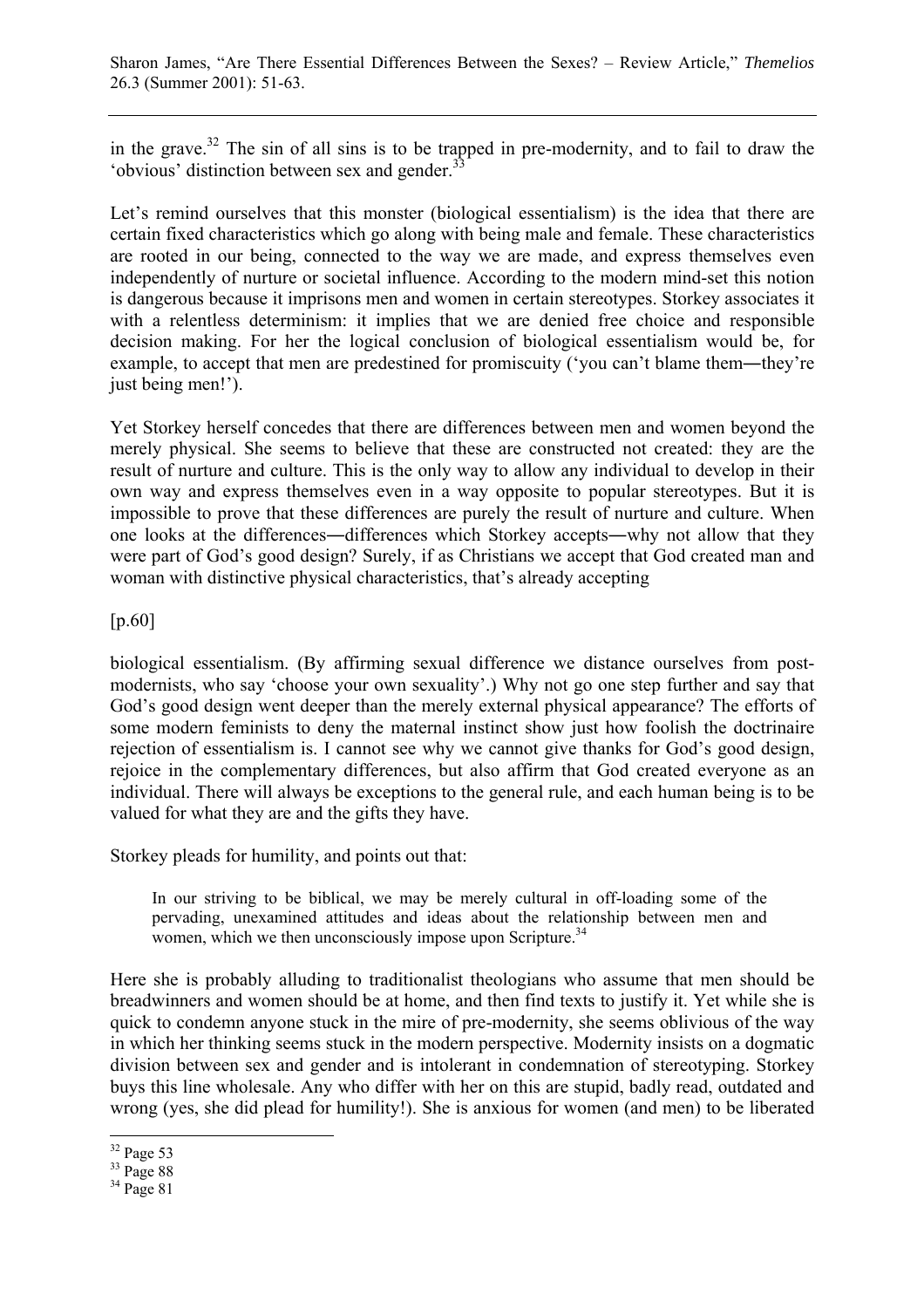in the grave.<sup>32</sup> The sin of all sins is to be trapped in pre-modernity, and to fail to draw the 'obvious' distinction between sex and gender.<sup>33</sup>

Let's remind ourselves that this monster (biological essentialism) is the idea that there are certain fixed characteristics which go along with being male and female. These characteristics are rooted in our being, connected to the way we are made, and express themselves even independently of nurture or societal influence. According to the modern mind-set this notion is dangerous because it imprisons men and women in certain stereotypes. Storkey associates it with a relentless determinism: it implies that we are denied free choice and responsible decision making. For her the logical conclusion of biological essentialism would be, for example, to accept that men are predestined for promiscuity ('you can't blame them―they're just being men!').

Yet Storkey herself concedes that there are differences between men and women beyond the merely physical. She seems to believe that these are constructed not created: they are the result of nurture and culture. This is the only way to allow any individual to develop in their own way and express themselves even in a way opposite to popular stereotypes. But it is impossible to prove that these differences are purely the result of nurture and culture. When one looks at the differences―differences which Storkey accepts―why not allow that they were part of God's good design? Surely, if as Christians we accept that God created man and woman with distinctive physical characteristics, that's already accepting

[p.60]

biological essentialism. (By affirming sexual difference we distance ourselves from postmodernists, who say 'choose your own sexuality'.) Why not go one step further and say that God's good design went deeper than the merely external physical appearance? The efforts of some modern feminists to deny the maternal instinct show just how foolish the doctrinaire rejection of essentialism is. I cannot see why we cannot give thanks for God's good design, rejoice in the complementary differences, but also affirm that God created everyone as an individual. There will always be exceptions to the general rule, and each human being is to be valued for what they are and the gifts they have.

Storkey pleads for humility, and points out that:

In our striving to be biblical, we may be merely cultural in off-loading some of the pervading, unexamined attitudes and ideas about the relationship between men and women, which we then unconsciously impose upon Scripture.<sup>34</sup>

Here she is probably alluding to traditionalist theologians who assume that men should be breadwinners and women should be at home, and then find texts to justify it. Yet while she is quick to condemn anyone stuck in the mire of pre-modernity, she seems oblivious of the way in which her thinking seems stuck in the modern perspective. Modernity insists on a dogmatic division between sex and gender and is intolerant in condemnation of stereotyping. Storkey buys this line wholesale. Any who differ with her on this are stupid, badly read, outdated and wrong (yes, she did plead for humility!). She is anxious for women (and men) to be liberated

 $\overline{a}$ 32 Page 53

<sup>&</sup>lt;sup>33</sup> Page 88

 $34$  Page 81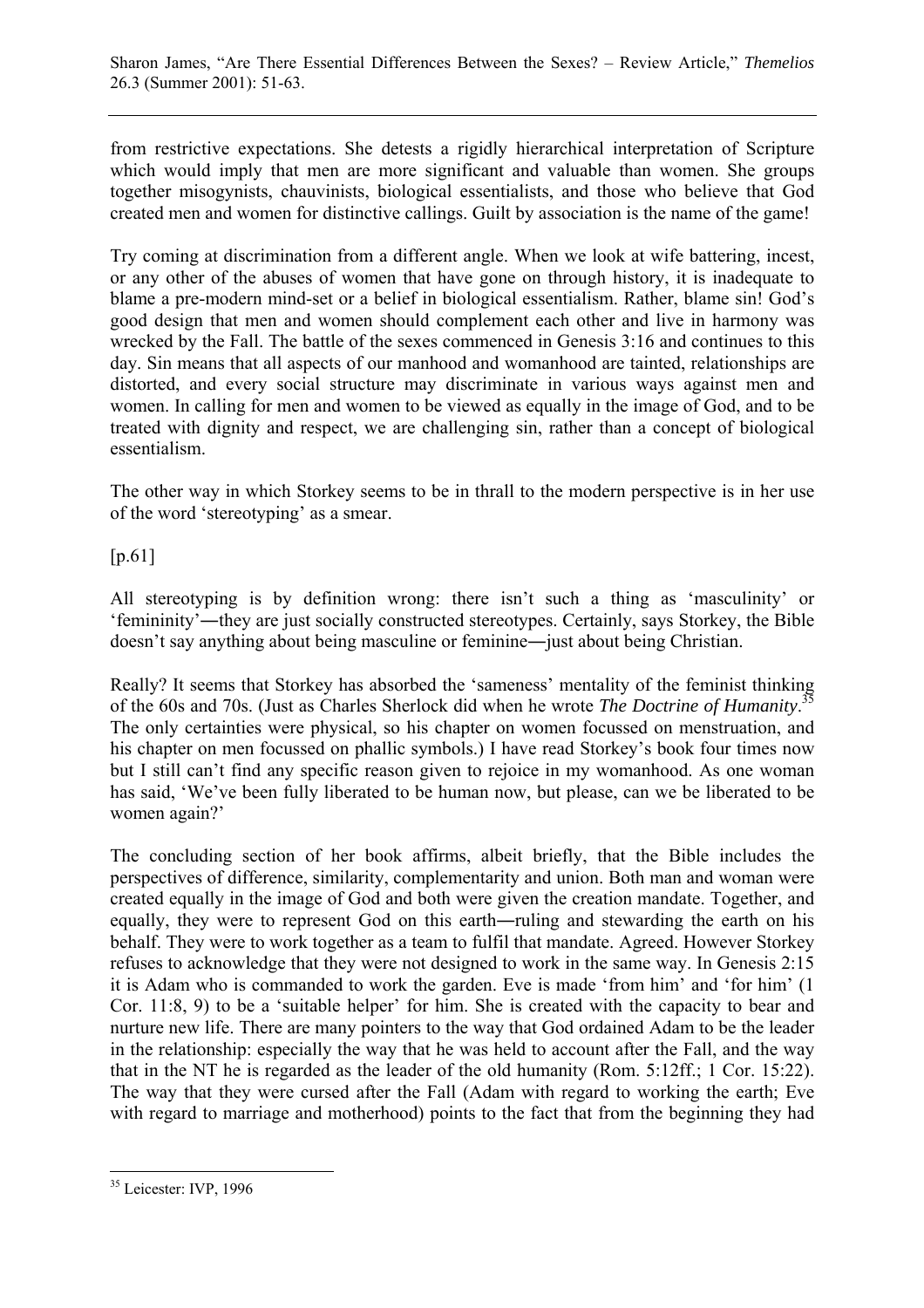from restrictive expectations. She detests a rigidly hierarchical interpretation of Scripture which would imply that men are more significant and valuable than women. She groups together misogynists, chauvinists, biological essentialists, and those who believe that God created men and women for distinctive callings. Guilt by association is the name of the game!

Try coming at discrimination from a different angle. When we look at wife battering, incest, or any other of the abuses of women that have gone on through history, it is inadequate to blame a pre-modern mind-set or a belief in biological essentialism. Rather, blame sin! God's good design that men and women should complement each other and live in harmony was wrecked by the Fall. The battle of the sexes commenced in Genesis 3:16 and continues to this day. Sin means that all aspects of our manhood and womanhood are tainted, relationships are distorted, and every social structure may discriminate in various ways against men and women. In calling for men and women to be viewed as equally in the image of God, and to be treated with dignity and respect, we are challenging sin, rather than a concept of biological essentialism.

The other way in which Storkey seems to be in thrall to the modern perspective is in her use of the word 'stereotyping' as a smear.

## [p.61]

All stereotyping is by definition wrong: there isn't such a thing as 'masculinity' or 'femininity'―they are just socially constructed stereotypes. Certainly, says Storkey, the Bible doesn't say anything about being masculine or feminine―just about being Christian.

Really? It seems that Storkey has absorbed the 'sameness' mentality of the feminist thinking of the 60s and 70s. (Just as Charles Sherlock did when he wrote *The Doctrine of Humanity*. 35 The only certainties were physical, so his chapter on women focussed on menstruation, and his chapter on men focussed on phallic symbols.) I have read Storkey's book four times now but I still can't find any specific reason given to rejoice in my womanhood. As one woman has said, 'We've been fully liberated to be human now, but please, can we be liberated to be women again?'

The concluding section of her book affirms, albeit briefly, that the Bible includes the perspectives of difference, similarity, complementarity and union. Both man and woman were created equally in the image of God and both were given the creation mandate. Together, and equally, they were to represent God on this earth―ruling and stewarding the earth on his behalf. They were to work together as a team to fulfil that mandate. Agreed. However Storkey refuses to acknowledge that they were not designed to work in the same way. In Genesis 2:15 it is Adam who is commanded to work the garden. Eve is made 'from him' and 'for him' (1 Cor. 11:8, 9) to be a 'suitable helper' for him. She is created with the capacity to bear and nurture new life. There are many pointers to the way that God ordained Adam to be the leader in the relationship: especially the way that he was held to account after the Fall, and the way that in the NT he is regarded as the leader of the old humanity (Rom. 5:12ff.; 1 Cor. 15:22). The way that they were cursed after the Fall (Adam with regard to working the earth; Eve with regard to marriage and motherhood) points to the fact that from the beginning they had

 $\overline{a}$ <sup>35</sup> Leicester: IVP, 1996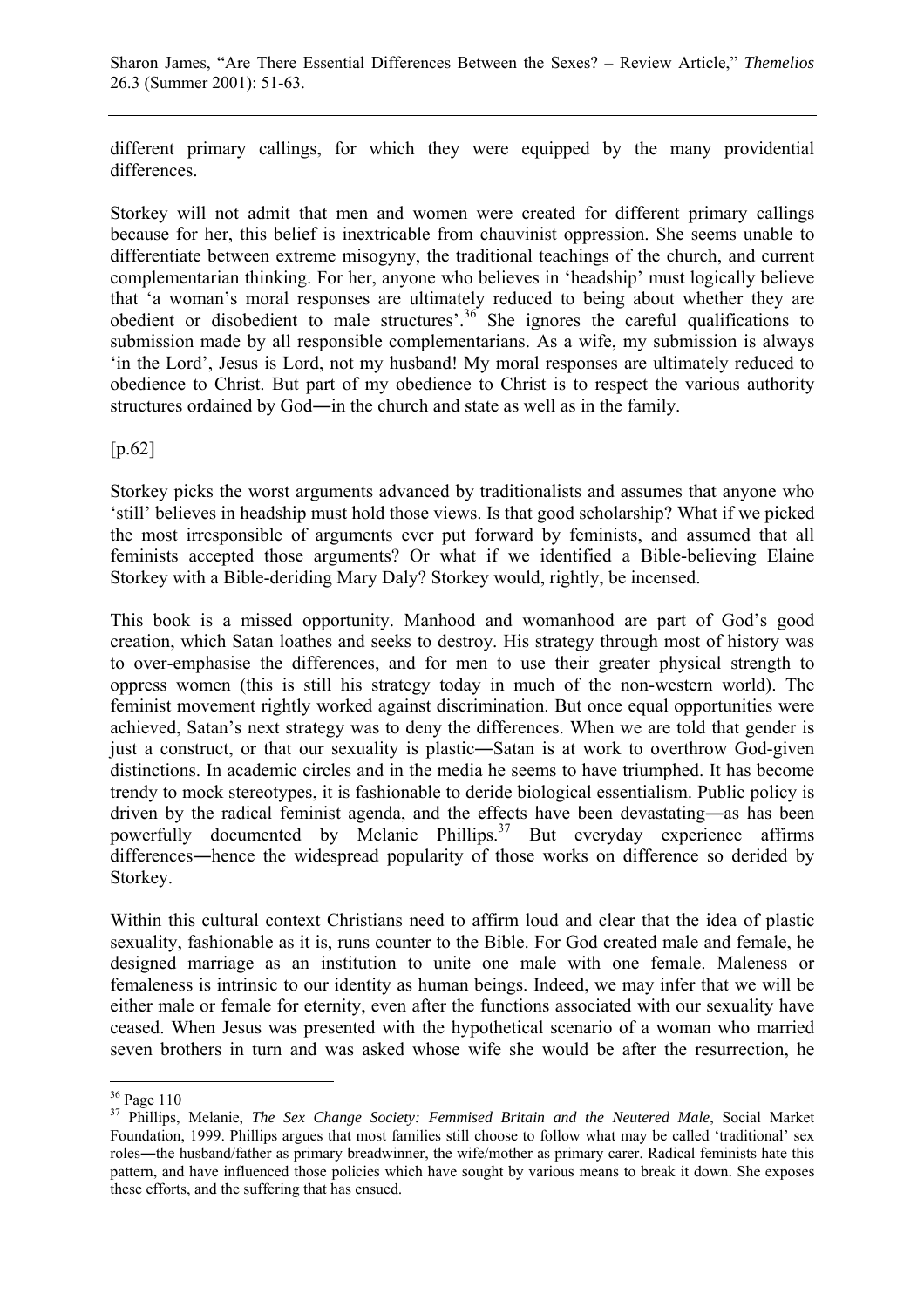different primary callings, for which they were equipped by the many providential differences.

Storkey will not admit that men and women were created for different primary callings because for her, this belief is inextricable from chauvinist oppression. She seems unable to differentiate between extreme misogyny, the traditional teachings of the church, and current complementarian thinking. For her, anyone who believes in 'headship' must logically believe that 'a woman's moral responses are ultimately reduced to being about whether they are obedient or disobedient to male structures'.36 She ignores the careful qualifications to submission made by all responsible complementarians. As a wife, my submission is always 'in the Lord', Jesus is Lord, not my husband! My moral responses are ultimately reduced to obedience to Christ. But part of my obedience to Christ is to respect the various authority structures ordained by God―in the church and state as well as in the family.

[p.62]

Storkey picks the worst arguments advanced by traditionalists and assumes that anyone who 'still' believes in headship must hold those views. Is that good scholarship? What if we picked the most irresponsible of arguments ever put forward by feminists, and assumed that all feminists accepted those arguments? Or what if we identified a Bible-believing Elaine Storkey with a Bible-deriding Mary Daly? Storkey would, rightly, be incensed.

This book is a missed opportunity. Manhood and womanhood are part of God's good creation, which Satan loathes and seeks to destroy. His strategy through most of history was to over-emphasise the differences, and for men to use their greater physical strength to oppress women (this is still his strategy today in much of the non-western world). The feminist movement rightly worked against discrimination. But once equal opportunities were achieved, Satan's next strategy was to deny the differences. When we are told that gender is just a construct, or that our sexuality is plastic―Satan is at work to overthrow God-given distinctions. In academic circles and in the media he seems to have triumphed. It has become trendy to mock stereotypes, it is fashionable to deride biological essentialism. Public policy is driven by the radical feminist agenda, and the effects have been devastating―as has been powerfully documented by Melanie Phillips.<sup>37</sup> But everyday experience affirms differences―hence the widespread popularity of those works on difference so derided by Storkey.

Within this cultural context Christians need to affirm loud and clear that the idea of plastic sexuality, fashionable as it is, runs counter to the Bible. For God created male and female, he designed marriage as an institution to unite one male with one female. Maleness or femaleness is intrinsic to our identity as human beings. Indeed, we may infer that we will be either male or female for eternity, even after the functions associated with our sexuality have ceased. When Jesus was presented with the hypothetical scenario of a woman who married seven brothers in turn and was asked whose wife she would be after the resurrection, he

<sup>36</sup> Page 110

<sup>&</sup>lt;sup>37</sup> Phillips, Melanie, *The Sex Change Society: Femmised Britain and the Neutered Male*, Social Market Foundation, 1999. Phillips argues that most families still choose to follow what may be called 'traditional' sex roles―the husband/father as primary breadwinner, the wife/mother as primary carer. Radical feminists hate this pattern, and have influenced those policies which have sought by various means to break it down. She exposes these efforts, and the suffering that has ensued.